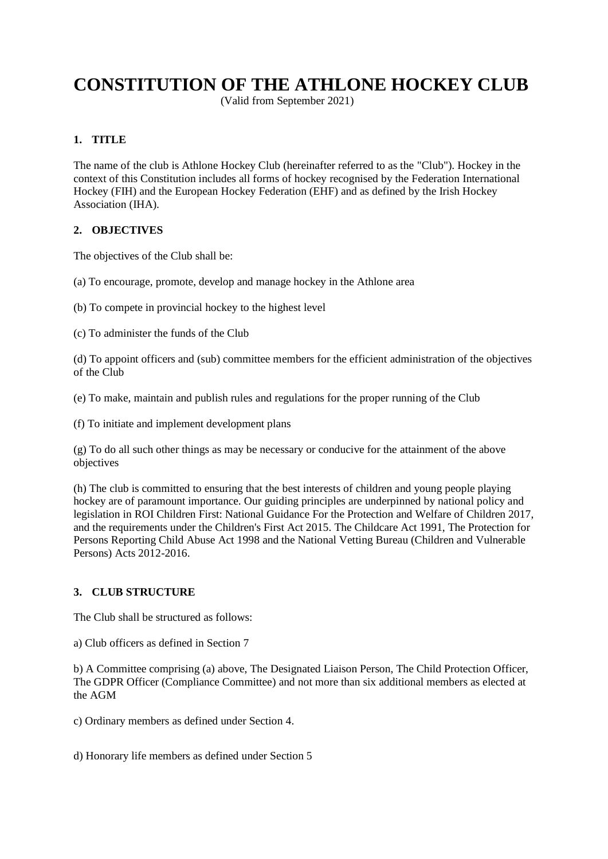# **CONSTITUTION OF THE ATHLONE HOCKEY CLUB**

(Valid from September 2021)

# **1. TITLE**

The name of the club is Athlone Hockey Club (hereinafter referred to as the "Club"). Hockey in the context of this Constitution includes all forms of hockey recognised by the Federation International Hockey (FIH) and the European Hockey Federation (EHF) and as defined by the Irish Hockey Association (IHA).

# **2. OBJECTIVES**

The objectives of the Club shall be:

- (a) To encourage, promote, develop and manage hockey in the Athlone area
- (b) To compete in provincial hockey to the highest level
- (c) To administer the funds of the Club

(d) To appoint officers and (sub) committee members for the efficient administration of the objectives of the Club

(e) To make, maintain and publish rules and regulations for the proper running of the Club

(f) To initiate and implement development plans

(g) To do all such other things as may be necessary or conducive for the attainment of the above objectives

(h) The club is committed to ensuring that the best interests of children and young people playing hockey are of paramount importance. Our guiding principles are underpinned by national policy and legislation in ROI Children First: National Guidance For the Protection and Welfare of Children 2017, and the requirements under the Children's First Act 2015. The Childcare Act 1991, The Protection for Persons Reporting Child Abuse Act 1998 and the National Vetting Bureau (Children and Vulnerable Persons) Acts 2012-2016.

# **3. CLUB STRUCTURE**

The Club shall be structured as follows:

a) Club officers as defined in Section 7

b) A Committee comprising (a) above, The Designated Liaison Person, The Child Protection Officer, The GDPR Officer (Compliance Committee) and not more than six additional members as elected at the AGM

c) Ordinary members as defined under Section 4.

d) Honorary life members as defined under Section 5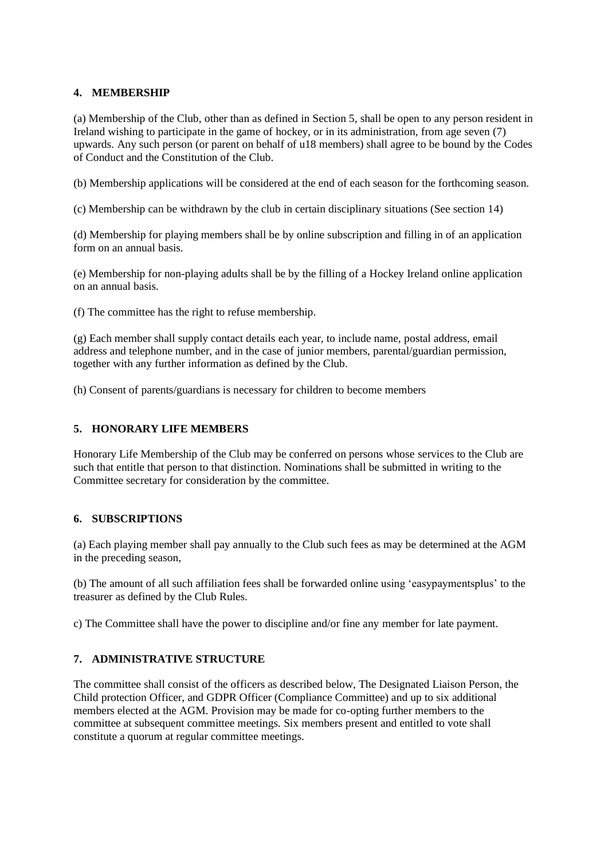## **4. MEMBERSHIP**

(a) Membership of the Club, other than as defined in Section 5, shall be open to any person resident in Ireland wishing to participate in the game of hockey, or in its administration, from age seven (7) upwards. Any such person (or parent on behalf of u18 members) shall agree to be bound by the Codes of Conduct and the Constitution of the Club.

(b) Membership applications will be considered at the end of each season for the forthcoming season.

(c) Membership can be withdrawn by the club in certain disciplinary situations (See section 14)

(d) Membership for playing members shall be by online subscription and filling in of an application form on an annual basis.

(e) Membership for non-playing adults shall be by the filling of a Hockey Ireland online application on an annual basis.

(f) The committee has the right to refuse membership.

(g) Each member shall supply contact details each year, to include name, postal address, email address and telephone number, and in the case of junior members, parental/guardian permission, together with any further information as defined by the Club.

(h) Consent of parents/guardians is necessary for children to become members

# **5. HONORARY LIFE MEMBERS**

Honorary Life Membership of the Club may be conferred on persons whose services to the Club are such that entitle that person to that distinction. Nominations shall be submitted in writing to the Committee secretary for consideration by the committee.

#### **6. SUBSCRIPTIONS**

(a) Each playing member shall pay annually to the Club such fees as may be determined at the AGM in the preceding season,

(b) The amount of all such affiliation fees shall be forwarded online using 'easypaymentsplus' to the treasurer as defined by the Club Rules.

c) The Committee shall have the power to discipline and/or fine any member for late payment.

# **7. ADMINISTRATIVE STRUCTURE**

The committee shall consist of the officers as described below, The Designated Liaison Person, the Child protection Officer, and GDPR Officer (Compliance Committee) and up to six additional members elected at the AGM. Provision may be made for co-opting further members to the committee at subsequent committee meetings. Six members present and entitled to vote shall constitute a quorum at regular committee meetings.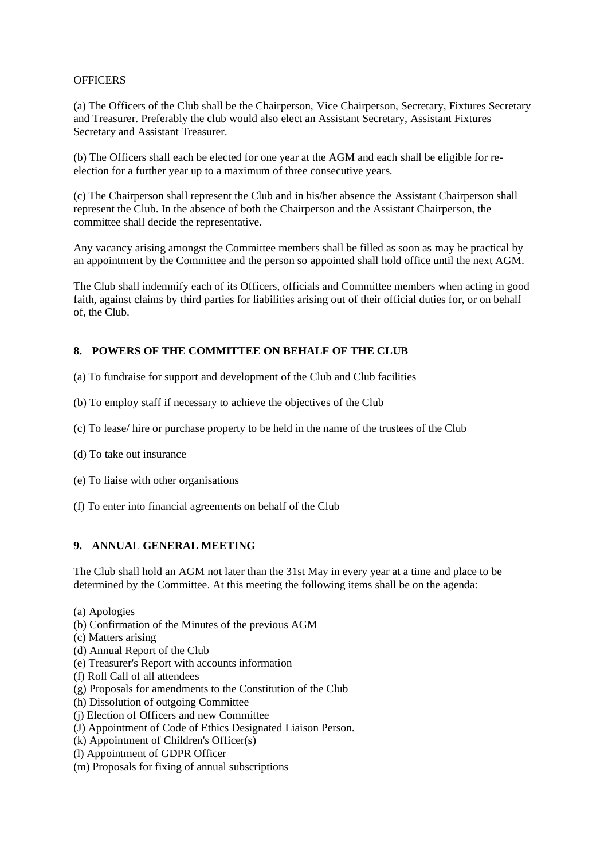#### **OFFICERS**

(a) The Officers of the Club shall be the Chairperson, Vice Chairperson, Secretary, Fixtures Secretary and Treasurer. Preferably the club would also elect an Assistant Secretary, Assistant Fixtures Secretary and Assistant Treasurer.

(b) The Officers shall each be elected for one year at the AGM and each shall be eligible for reelection for a further year up to a maximum of three consecutive years.

(c) The Chairperson shall represent the Club and in his/her absence the Assistant Chairperson shall represent the Club. In the absence of both the Chairperson and the Assistant Chairperson, the committee shall decide the representative.

Any vacancy arising amongst the Committee members shall be filled as soon as may be practical by an appointment by the Committee and the person so appointed shall hold office until the next AGM.

The Club shall indemnify each of its Officers, officials and Committee members when acting in good faith, against claims by third parties for liabilities arising out of their official duties for, or on behalf of, the Club.

# **8. POWERS OF THE COMMITTEE ON BEHALF OF THE CLUB**

- (a) To fundraise for support and development of the Club and Club facilities
- (b) To employ staff if necessary to achieve the objectives of the Club
- (c) To lease/ hire or purchase property to be held in the name of the trustees of the Club
- (d) To take out insurance
- (e) To liaise with other organisations
- (f) To enter into financial agreements on behalf of the Club

# **9. ANNUAL GENERAL MEETING**

The Club shall hold an AGM not later than the 31st May in every year at a time and place to be determined by the Committee. At this meeting the following items shall be on the agenda:

- (a) Apologies
- (b) Confirmation of the Minutes of the previous AGM
- (c) Matters arising
- (d) Annual Report of the Club
- (e) Treasurer's Report with accounts information
- (f) Roll Call of all attendees
- (g) Proposals for amendments to the Constitution of the Club
- (h) Dissolution of outgoing Committee
- (j) Election of Officers and new Committee
- (J) Appointment of Code of Ethics Designated Liaison Person.
- (k) Appointment of Children's Officer(s)
- (l) Appointment of GDPR Officer
- (m) Proposals for fixing of annual subscriptions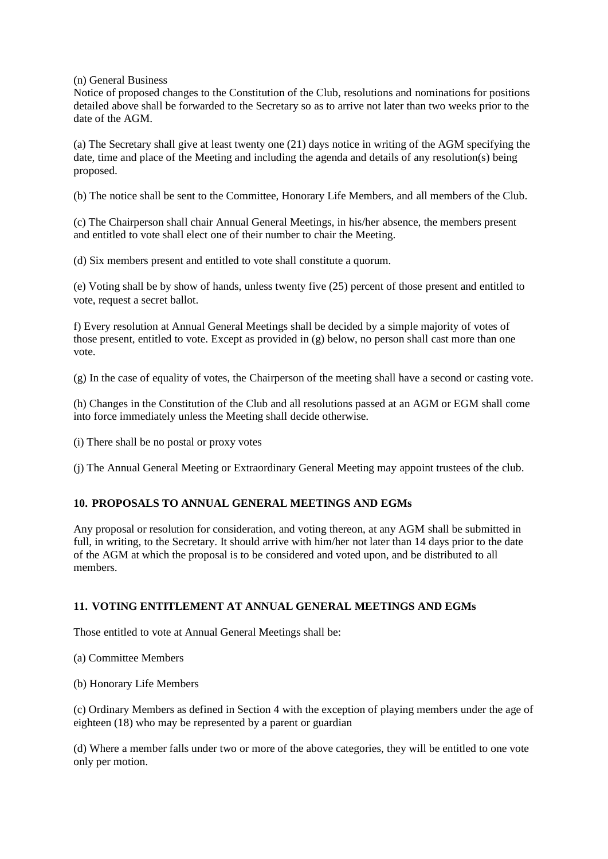(n) General Business

Notice of proposed changes to the Constitution of the Club, resolutions and nominations for positions detailed above shall be forwarded to the Secretary so as to arrive not later than two weeks prior to the date of the AGM.

(a) The Secretary shall give at least twenty one (21) days notice in writing of the AGM specifying the date, time and place of the Meeting and including the agenda and details of any resolution(s) being proposed.

(b) The notice shall be sent to the Committee, Honorary Life Members, and all members of the Club.

(c) The Chairperson shall chair Annual General Meetings, in his/her absence, the members present and entitled to vote shall elect one of their number to chair the Meeting.

(d) Six members present and entitled to vote shall constitute a quorum.

(e) Voting shall be by show of hands, unless twenty five (25) percent of those present and entitled to vote, request a secret ballot.

f) Every resolution at Annual General Meetings shall be decided by a simple majority of votes of those present, entitled to vote. Except as provided in (g) below, no person shall cast more than one vote.

(g) In the case of equality of votes, the Chairperson of the meeting shall have a second or casting vote.

(h) Changes in the Constitution of the Club and all resolutions passed at an AGM or EGM shall come into force immediately unless the Meeting shall decide otherwise.

(i) There shall be no postal or proxy votes

(j) The Annual General Meeting or Extraordinary General Meeting may appoint trustees of the club.

#### **10. PROPOSALS TO ANNUAL GENERAL MEETINGS AND EGMs**

Any proposal or resolution for consideration, and voting thereon, at any AGM shall be submitted in full, in writing, to the Secretary. It should arrive with him/her not later than 14 days prior to the date of the AGM at which the proposal is to be considered and voted upon, and be distributed to all members.

#### **11. VOTING ENTITLEMENT AT ANNUAL GENERAL MEETINGS AND EGMs**

Those entitled to vote at Annual General Meetings shall be:

(a) Committee Members

(b) Honorary Life Members

(c) Ordinary Members as defined in Section 4 with the exception of playing members under the age of eighteen (18) who may be represented by a parent or guardian

(d) Where a member falls under two or more of the above categories, they will be entitled to one vote only per motion.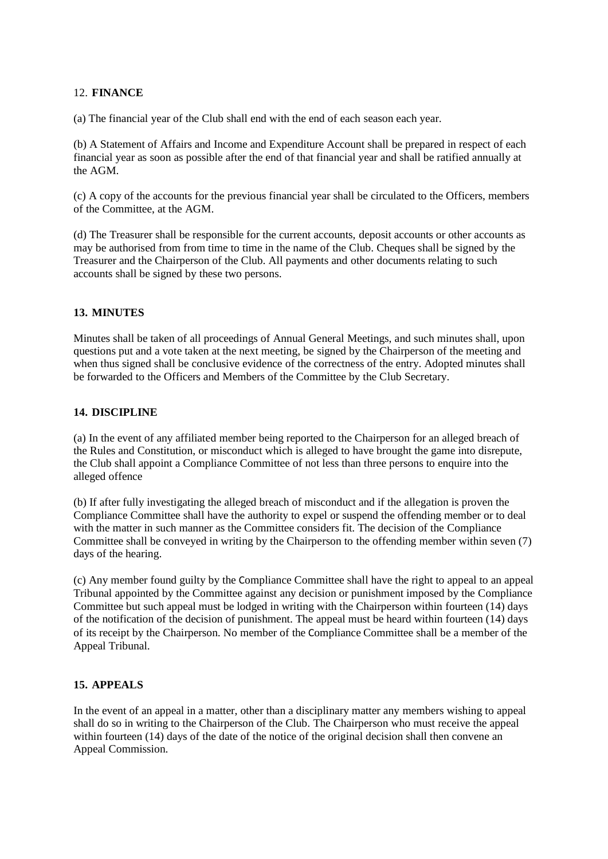## 12. **FINANCE**

(a) The financial year of the Club shall end with the end of each season each year.

(b) A Statement of Affairs and Income and Expenditure Account shall be prepared in respect of each financial year as soon as possible after the end of that financial year and shall be ratified annually at the AGM.

(c) A copy of the accounts for the previous financial year shall be circulated to the Officers, members of the Committee, at the AGM.

(d) The Treasurer shall be responsible for the current accounts, deposit accounts or other accounts as may be authorised from from time to time in the name of the Club. Cheques shall be signed by the Treasurer and the Chairperson of the Club. All payments and other documents relating to such accounts shall be signed by these two persons.

## **13. MINUTES**

Minutes shall be taken of all proceedings of Annual General Meetings, and such minutes shall, upon questions put and a vote taken at the next meeting, be signed by the Chairperson of the meeting and when thus signed shall be conclusive evidence of the correctness of the entry. Adopted minutes shall be forwarded to the Officers and Members of the Committee by the Club Secretary.

#### **14. DISCIPLINE**

(a) In the event of any affiliated member being reported to the Chairperson for an alleged breach of the Rules and Constitution, or misconduct which is alleged to have brought the game into disrepute, the Club shall appoint a Compliance Committee of not less than three persons to enquire into the alleged offence

(b) If after fully investigating the alleged breach of misconduct and if the allegation is proven the Compliance Committee shall have the authority to expel or suspend the offending member or to deal with the matter in such manner as the Committee considers fit. The decision of the Compliance Committee shall be conveyed in writing by the Chairperson to the offending member within seven (7) days of the hearing.

(c) Any member found guilty by the Compliance Committee shall have the right to appeal to an appeal Tribunal appointed by the Committee against any decision or punishment imposed by the Compliance Committee but such appeal must be lodged in writing with the Chairperson within fourteen (14) days of the notification of the decision of punishment. The appeal must be heard within fourteen (14) days of its receipt by the Chairperson. No member of the Compliance Committee shall be a member of the Appeal Tribunal.

#### **15. APPEALS**

In the event of an appeal in a matter, other than a disciplinary matter any members wishing to appeal shall do so in writing to the Chairperson of the Club. The Chairperson who must receive the appeal within fourteen (14) days of the date of the notice of the original decision shall then convene an Appeal Commission.